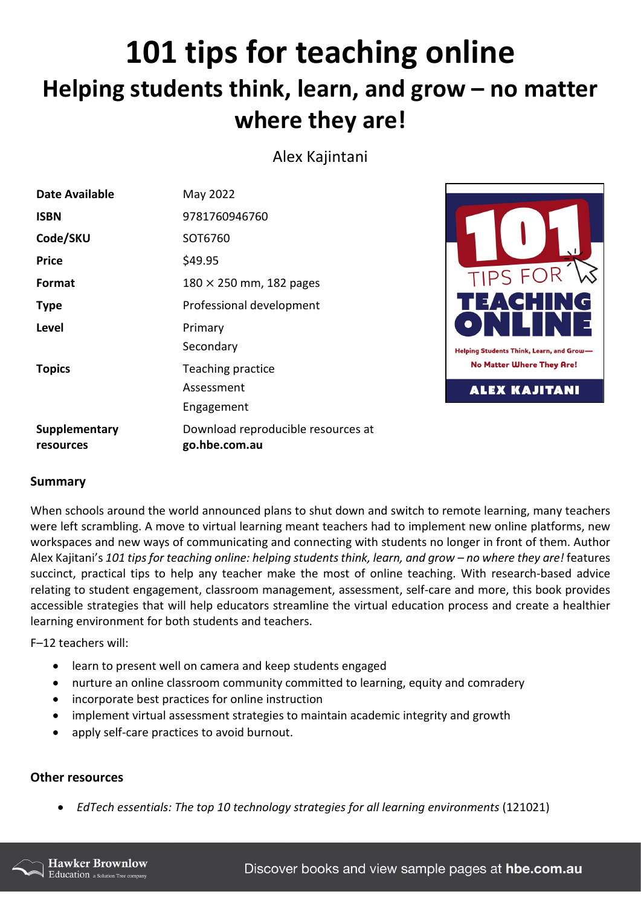## **101 tips for teaching online Helping students think, learn, and grow – no matter where they are!**

Alex Kajintani

| <b>Date Available</b>      | May 2022                                            |                                             |
|----------------------------|-----------------------------------------------------|---------------------------------------------|
| <b>ISBN</b>                | 9781760946760                                       |                                             |
| Code/SKU                   | SOT6760                                             |                                             |
| <b>Price</b>               | \$49.95                                             |                                             |
| Format                     | $180 \times 250$ mm, 182 pages                      | TIPS FOR                                    |
| <b>Type</b>                | Professional development                            |                                             |
| Level                      | Primary                                             |                                             |
|                            | Secondary                                           | <b>Helping Students Think, Learn, and C</b> |
| <b>Topics</b>              | Teaching practice                                   | <b>No Matter Where They Ar</b>              |
|                            | Assessment                                          | <b>ALEX KAJITAN</b>                         |
|                            | Engagement                                          |                                             |
| Supplementary<br>resources | Download reproducible resources at<br>go.hbe.com.au |                                             |

## **Summary**

When schools around the world announced plans to shut down and switch to remote learning, many teachers were left scrambling. A move to virtual learning meant teachers had to implement new online platforms, new workspaces and new ways of communicating and connecting with students no longer in front of them. Author Alex Kajitani's *101 tips for teaching online: helping students think, learn, and grow – no where they are!* features succinct, practical tips to help any teacher make the most of online teaching. With research-based advice relating to student engagement, classroom management, assessment, self-care and more, this book provides accessible strategies that will help educators streamline the virtual education process and create a healthier learning environment for both students and teachers.

F–12 teachers will:

- learn to present well on camera and keep students engaged
- nurture an online classroom community committed to learning, equity and comradery
- incorporate best practices for online instruction
- implement virtual assessment strategies to maintain academic integrity and growth
- apply self-care practices to avoid burnout.

## **Other resources**

• *EdTech essentials: The top 10 technology strategies for all learning environments* (121021)



G